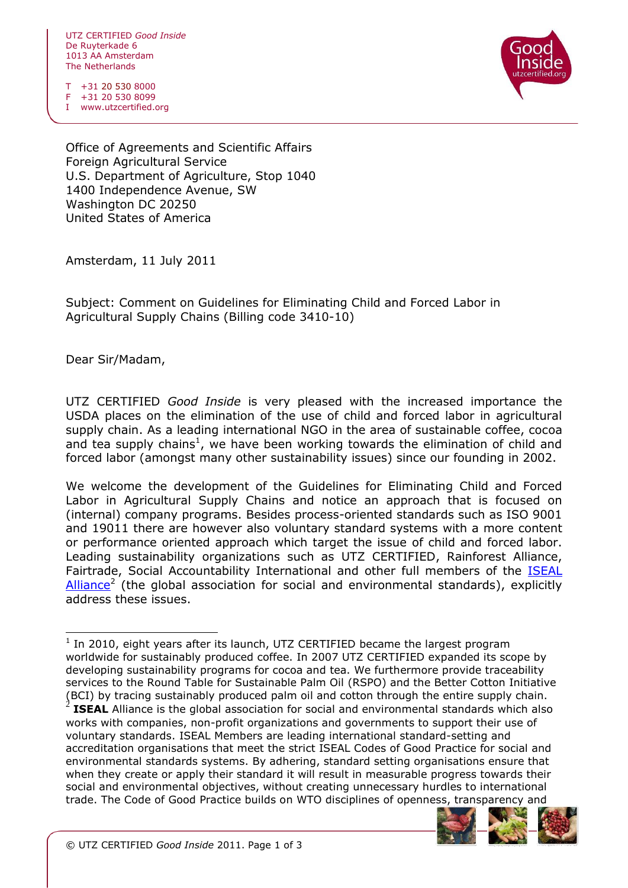UTZ CERTIFIED *Good Inside* De Ruyterkade 6 1013 AA Amsterdam The Netherlands

T +31 20 530 8000 F +31 20 530 8099

I www.utzcertified.org

Office of Agreements and Scientific Affairs Foreign Agricultural Service U.S. Department of Agriculture, Stop 1040 1400 Independence Avenue, SW Washington DC 20250 United States of America

Amsterdam, 11 July 2011

Subject: Comment on Guidelines for Eliminating Child and Forced Labor in Agricultural Supply Chains (Billing code 3410-10)

Dear Sir/Madam,

ł

UTZ CERTIFIED *Good Inside* is very pleased with the increased importance the USDA places on the elimination of the use of child and forced labor in agricultural supply chain. As a leading international NGO in the area of sustainable coffee, cocoa and tea supply chains<sup>1</sup>, we have been working towards the elimination of child and forced labor (amongst many other sustainability issues) since our founding in 2002.

We welcome the development of the Guidelines for Eliminating Child and Forced Labor in Agricultural Supply Chains and notice an approach that is focused on (internal) company programs. Besides process-oriented standards such as ISO 9001 and 19011 there are however also voluntary standard systems with a more content or performance oriented approach which target the issue of child and forced labor. Leading sustainability organizations such as UTZ CERTIFIED, Rainforest Alliance, Fairtrade, Social Accountability International and other full members of the [ISEAL](http://www.isealalliance.org/organisation/full_members)  [Alliance](http://www.isealalliance.org/organisation/full_members)<sup>2</sup> (the global association for social and environmental standards), explicitly address these issues.

voluntary standards. ISEAL Members are leading international standard-setting and accreditation organisations that meet the strict ISEAL Codes of Good Practice for social and environmental standards systems. By adhering, standard setting organisations ensure that when they create or apply their standard it will result in measurable progress towards their social and environmental objectives, without creating unnecessary hurdles to international trade. The Code of Good Practice builds on WTO disciplines of openness, transparency and



 $1$  In 2010, eight years after its launch, UTZ CERTIFIED became the largest program worldwide for sustainably produced coffee. In 2007 UTZ CERTIFIED expanded its scope by developing sustainability programs for cocoa and tea. We furthermore provide traceability services to the Round Table for Sustainable Palm Oil (RSPO) and the Better Cotton Initiative (BCI) by tracing sustainably produced palm oil and cotton through the entire supply chain.<br>2 **JSEAL** Alliance is the alobal accesiation for social and environmental standards which also **ISEAL** Alliance is the global association for social and environmental standards which also works with companies, non-profit organizations and governments to support their use of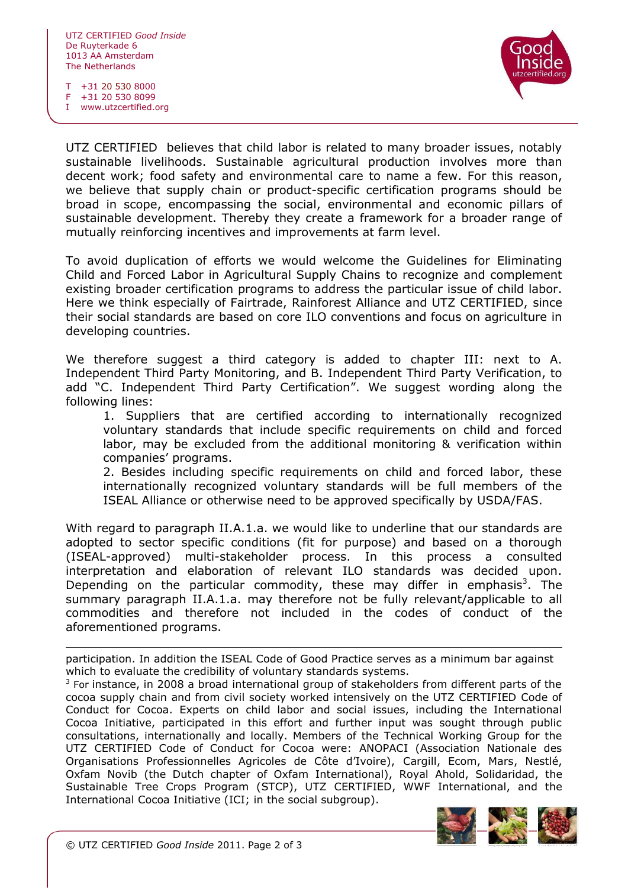

T +31 20 530 8000 F +31 20 530 8099

I www.utzcertified.org

UTZ CERTIFIED believes that child labor is related to many broader issues, notably sustainable livelihoods. Sustainable agricultural production involves more than decent work; food safety and environmental care to name a few. For this reason, we believe that supply chain or product-specific certification programs should be broad in scope, encompassing the social, environmental and economic pillars of sustainable development. Thereby they create a framework for a broader range of mutually reinforcing incentives and improvements at farm level.

To avoid duplication of efforts we would welcome the Guidelines for Eliminating Child and Forced Labor in Agricultural Supply Chains to recognize and complement existing broader certification programs to address the particular issue of child labor. Here we think especially of Fairtrade, Rainforest Alliance and UTZ CERTIFIED, since their social standards are based on core ILO conventions and focus on agriculture in developing countries.

We therefore suggest a third category is added to chapter III: next to A. Independent Third Party Monitoring, and B. Independent Third Party Verification, to add "C. Independent Third Party Certification". We suggest wording along the following lines:

1. Suppliers that are certified according to internationally recognized voluntary standards that include specific requirements on child and forced labor, may be excluded from the additional monitoring & verification within companies' programs.

2. Besides including specific requirements on child and forced labor, these internationally recognized voluntary standards will be full members of the ISEAL Alliance or otherwise need to be approved specifically by USDA/FAS.

With regard to paragraph II.A.1.a. we would like to underline that our standards are adopted to sector specific conditions (fit for purpose) and based on a thorough (ISEAL-approved) multi-stakeholder process. In this process a consulted interpretation and elaboration of relevant ILO standards was decided upon. Depending on the particular commodity, these may differ in emphasis<sup>3</sup>. The summary paragraph II.A.1.a. may therefore not be fully relevant/applicable to all commodities and therefore not included in the codes of conduct of the aforementioned programs.

participation. In addition the ISEAL Code of Good Practice serves as a minimum bar against which to evaluate the credibility of voluntary standards systems.

 $3$  For instance, in 2008 a broad international group of stakeholders from different parts of the cocoa supply chain and from civil society worked intensively on the UTZ CERTIFIED Code of Conduct for Cocoa. Experts on child labor and social issues, including the International Cocoa Initiative, participated in this effort and further input was sought through public consultations, internationally and locally. Members of the Technical Working Group for the UTZ CERTIFIED Code of Conduct for Cocoa were: ANOPACI (Association Nationale des Organisations Professionnelles Agricoles de Côte d'Ivoire), Cargill, Ecom, Mars, Nestlé, Oxfam Novib (the Dutch chapter of Oxfam International), Royal Ahold, Solidaridad, the Sustainable Tree Crops Program (STCP), UTZ CERTIFIED, WWF International, and the International Cocoa Initiative (ICI; in the social subgroup).



ł